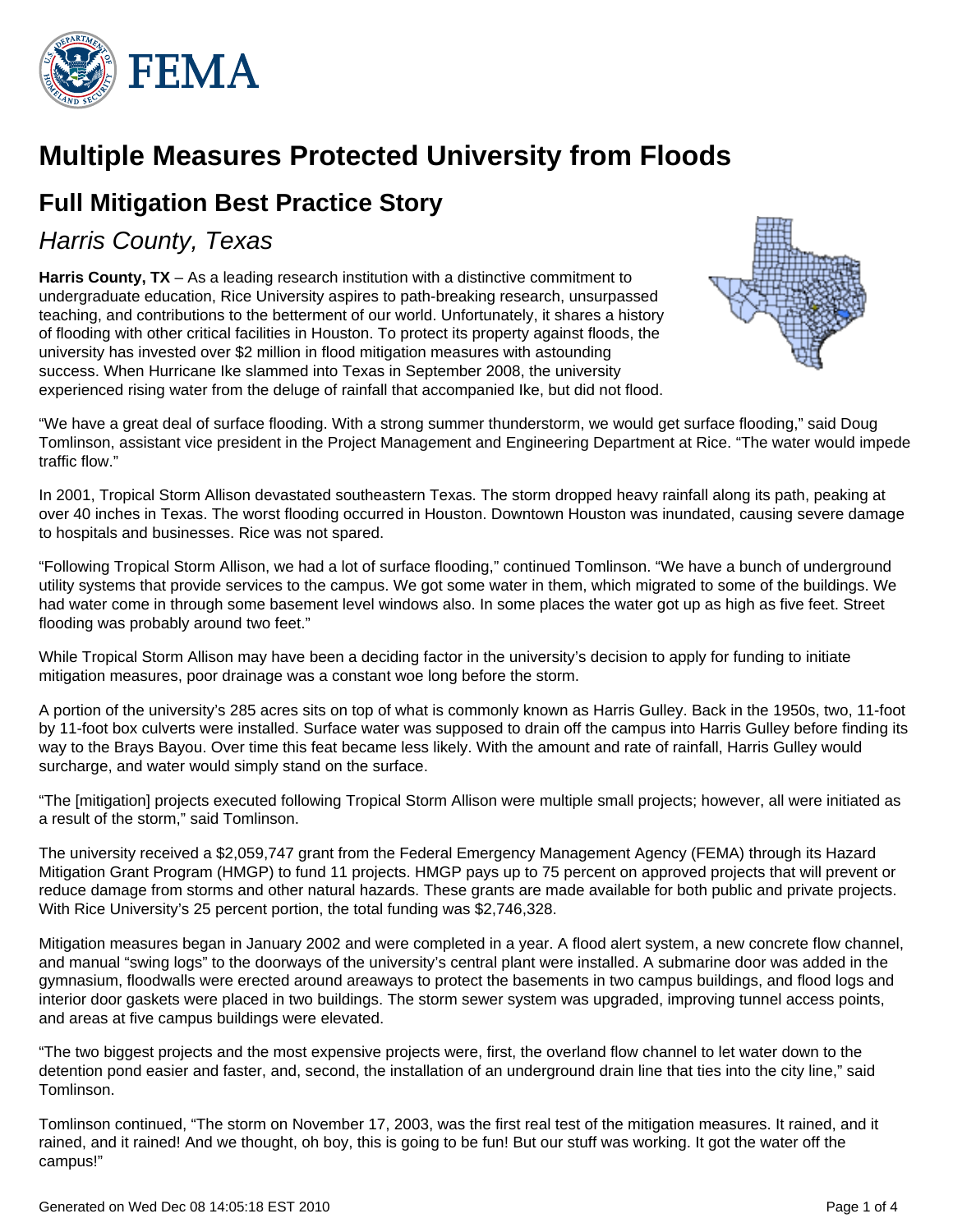

# **Multiple Measures Protected University from Floods**

## **Full Mitigation Best Practice Story**

### Harris County, Texas

**Harris County, TX** – As a leading research institution with a distinctive commitment to undergraduate education, Rice University aspires to path-breaking research, unsurpassed teaching, and contributions to the betterment of our world. Unfortunately, it shares a history of flooding with other critical facilities in Houston. To protect its property against floods, the university has invested over \$2 million in flood mitigation measures with astounding success. When Hurricane Ike slammed into Texas in September 2008, the university experienced rising water from the deluge of rainfall that accompanied Ike, but did not flood.



"We have a great deal of surface flooding. With a strong summer thunderstorm, we would get surface flooding," said Doug Tomlinson, assistant vice president in the Project Management and Engineering Department at Rice. "The water would impede traffic flow."

In 2001, Tropical Storm Allison devastated southeastern Texas. The storm dropped heavy rainfall along its path, peaking at over 40 inches in Texas. The worst flooding occurred in Houston. Downtown Houston was inundated, causing severe damage to hospitals and businesses. Rice was not spared.

"Following Tropical Storm Allison, we had a lot of surface flooding," continued Tomlinson. "We have a bunch of underground utility systems that provide services to the campus. We got some water in them, which migrated to some of the buildings. We had water come in through some basement level windows also. In some places the water got up as high as five feet. Street flooding was probably around two feet."

While Tropical Storm Allison may have been a deciding factor in the university's decision to apply for funding to initiate mitigation measures, poor drainage was a constant woe long before the storm.

A portion of the university's 285 acres sits on top of what is commonly known as Harris Gulley. Back in the 1950s, two, 11-foot by 11-foot box culverts were installed. Surface water was supposed to drain off the campus into Harris Gulley before finding its way to the Brays Bayou. Over time this feat became less likely. With the amount and rate of rainfall, Harris Gulley would surcharge, and water would simply stand on the surface.

"The [mitigation] projects executed following Tropical Storm Allison were multiple small projects; however, all were initiated as a result of the storm," said Tomlinson.

The university received a \$2,059,747 grant from the Federal Emergency Management Agency (FEMA) through its Hazard Mitigation Grant Program (HMGP) to fund 11 projects. HMGP pays up to 75 percent on approved projects that will prevent or reduce damage from storms and other natural hazards. These grants are made available for both public and private projects. With Rice University's 25 percent portion, the total funding was \$2,746,328.

Mitigation measures began in January 2002 and were completed in a year. A flood alert system, a new concrete flow channel, and manual "swing logs" to the doorways of the university's central plant were installed. A submarine door was added in the gymnasium, floodwalls were erected around areaways to protect the basements in two campus buildings, and flood logs and interior door gaskets were placed in two buildings. The storm sewer system was upgraded, improving tunnel access points, and areas at five campus buildings were elevated.

"The two biggest projects and the most expensive projects were, first, the overland flow channel to let water down to the detention pond easier and faster, and, second, the installation of an underground drain line that ties into the city line," said Tomlinson.

Tomlinson continued, "The storm on November 17, 2003, was the first real test of the mitigation measures. It rained, and it rained, and it rained! And we thought, oh boy, this is going to be fun! But our stuff was working. It got the water off the campus!"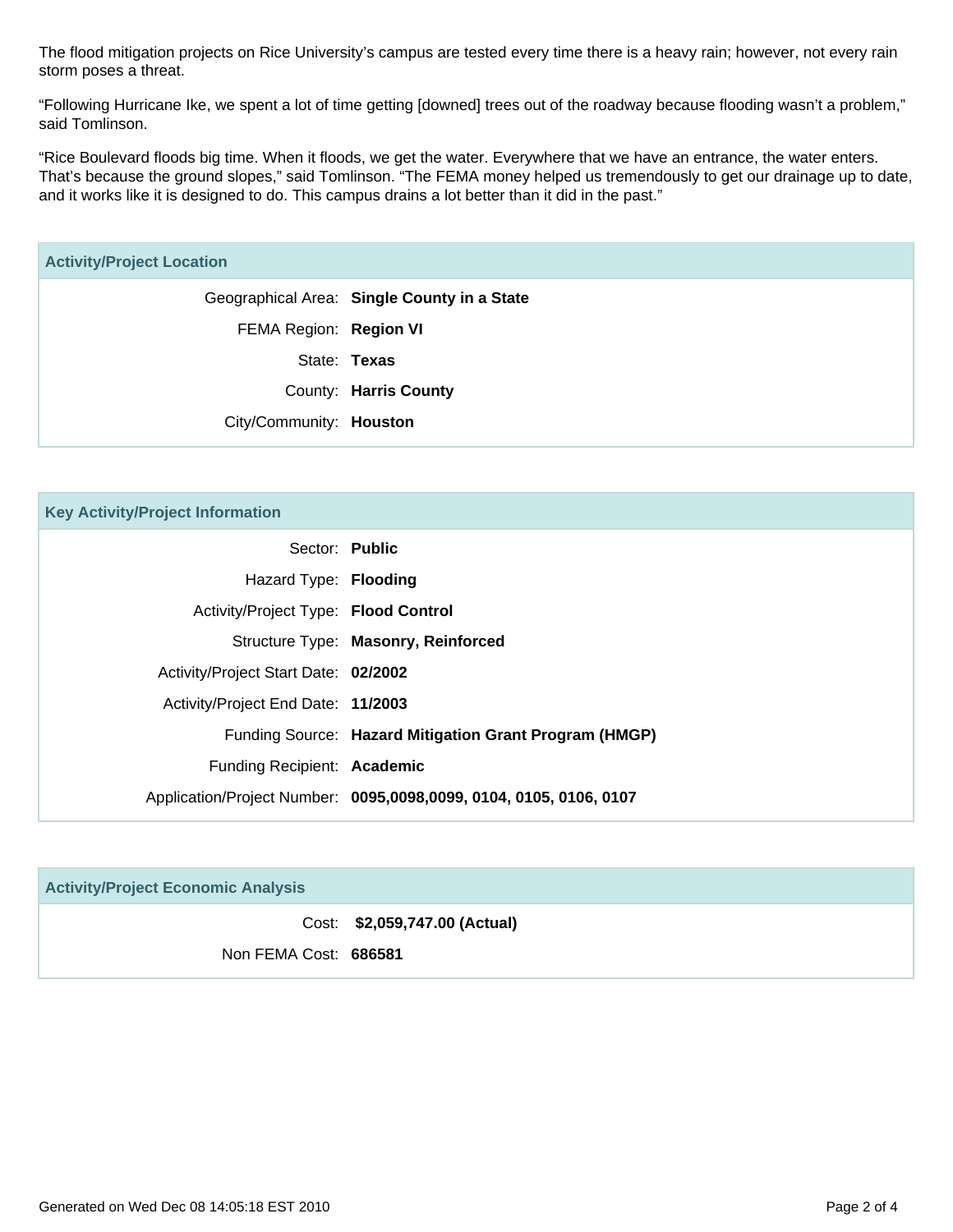The flood mitigation projects on Rice University's campus are tested every time there is a heavy rain; however, not every rain storm poses a threat.

"Following Hurricane Ike, we spent a lot of time getting [downed] trees out of the roadway because flooding wasn't a problem," said Tomlinson.

"Rice Boulevard floods big time. When it floods, we get the water. Everywhere that we have an entrance, the water enters. That's because the ground slopes," said Tomlinson. "The FEMA money helped us tremendously to get our drainage up to date, and it works like it is designed to do. This campus drains a lot better than it did in the past."

| <b>Key Activity/Project Information</b> |                                                                    |
|-----------------------------------------|--------------------------------------------------------------------|
|                                         | Sector: Public                                                     |
| Hazard Type: Flooding                   |                                                                    |
| Activity/Project Type: Flood Control    |                                                                    |
|                                         | Structure Type: Masonry, Reinforced                                |
| Activity/Project Start Date: 02/2002    |                                                                    |
| Activity/Project End Date: 11/2003      |                                                                    |
|                                         | Funding Source: Hazard Mitigation Grant Program (HMGP)             |
| Funding Recipient: Academic             |                                                                    |
|                                         | Application/Project Number: 0095,0098,0099, 0104, 0105, 0106, 0107 |

| <b>Activity/Project Economic Analysis</b> |                               |  |  |
|-------------------------------------------|-------------------------------|--|--|
|                                           | Cost: \$2,059,747.00 (Actual) |  |  |
| Non FEMA Cost: 686581                     |                               |  |  |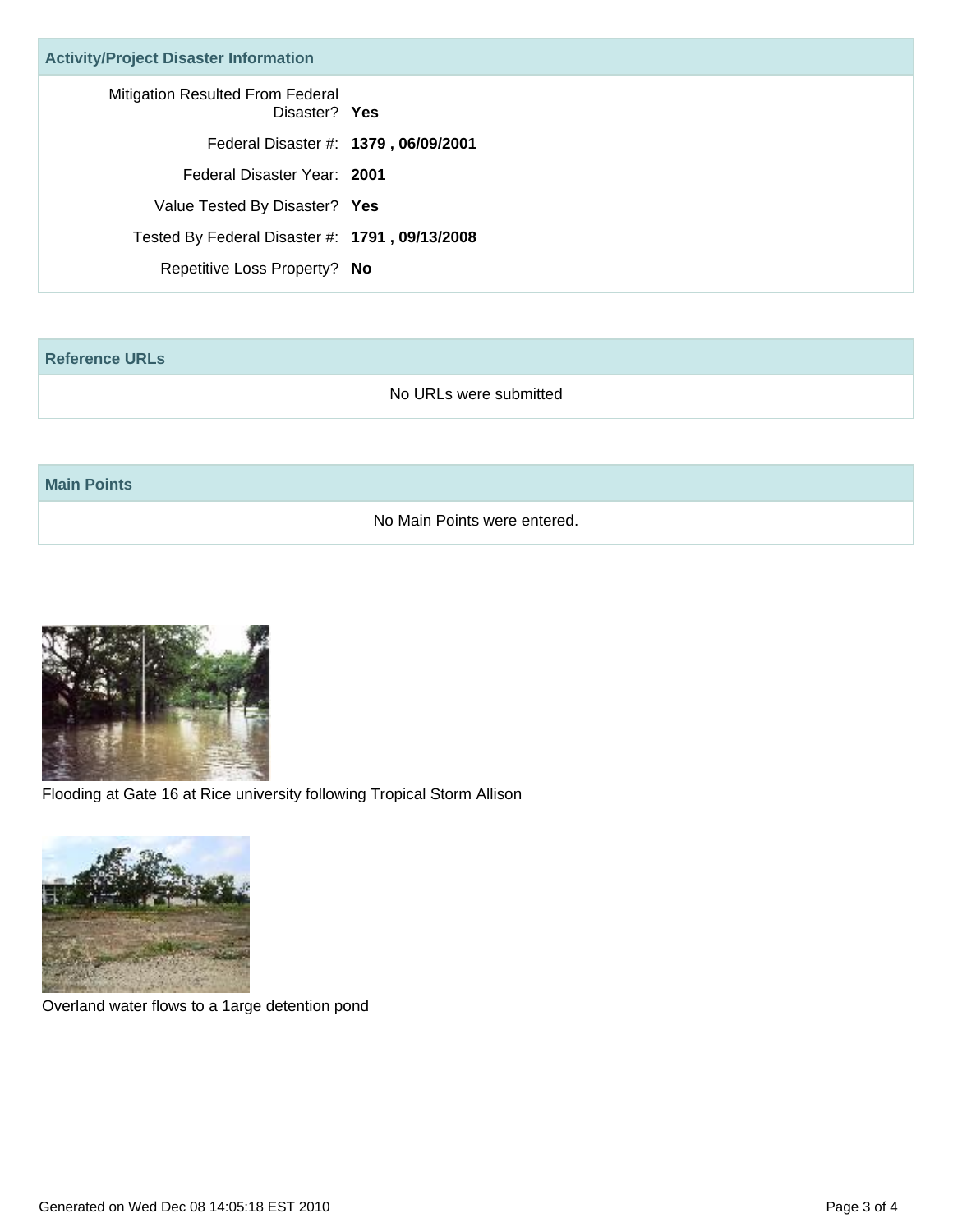| <b>Activity/Project Disaster Information</b>      |  |
|---------------------------------------------------|--|
| Mitigation Resulted From Federal<br>Disaster? Yes |  |
| Federal Disaster #: 1379, 06/09/2001              |  |
| Federal Disaster Year: 2001                       |  |
| Value Tested By Disaster? Yes                     |  |
| Tested By Federal Disaster #: 1791, 09/13/2008    |  |
| Repetitive Loss Property? No                      |  |

#### **Reference URLs**

No URLs were submitted

#### **Main Points**

No Main Points were entered.



Flooding at Gate 16 at Rice university following Tropical Storm Allison



Overland water flows to a 1arge detention pond